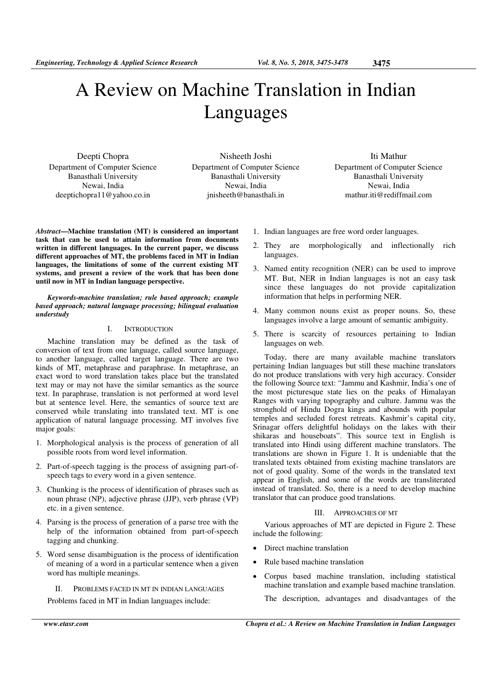# A Review on Machine Translation in Indian Languages

Deepti Chopra Department of Computer Science Banasthali University Newai, India deeptichopra11@yahoo.co.in

Nisheeth Joshi Department of Computer Science Banasthali University Newai, India jnisheeth@banasthali.in

Iti Mathur Department of Computer Science Banasthali University Newai, India mathur.iti@rediffmail.com

*Abstract***—Machine translation (MT) is considered an important task that can be used to attain information from documents written in different languages. In the current paper, we discuss different approaches of MT, the problems faced in MT in Indian languages, the limitations of some of the current existing MT systems, and present a review of the work that has been done until now in MT in Indian language perspective.** 

*Keywords-machine translation; rule based approach; example based approach; natural language processing; bilingual evaluation understudy* 

# I. INTRODUCTION

Machine translation may be defined as the task of conversion of text from one language, called source language, to another language, called target language. There are two kinds of MT, metaphrase and paraphrase. In metaphrase, an exact word to word translation takes place but the translated text may or may not have the similar semantics as the source text. In paraphrase, translation is not performed at word level but at sentence level. Here, the semantics of source text are conserved while translating into translated text. MT is one application of natural language processing. MT involves five major goals:

- 1. Morphological analysis is the process of generation of all possible roots from word level information.
- 2. Part-of-speech tagging is the process of assigning part-ofspeech tags to every word in a given sentence.
- 3. Chunking is the process of identification of phrases such as noun phrase (NP), adjective phrase (JJP), verb phrase (VP) etc. in a given sentence.
- 4. Parsing is the process of generation of a parse tree with the help of the information obtained from part-of-speech tagging and chunking.
- 5. Word sense disambiguation is the process of identification of meaning of a word in a particular sentence when a given word has multiple meanings.

II. PROBLEMS FACED IN MT IN INDIAN LANGUAGES Problems faced in MT in Indian languages include:

- 1. Indian languages are free word order languages.
- 2. They are morphologically and inflectionally rich languages.
- 3. Named entity recognition (NER) can be used to improve MT. But, NER in Indian languages is not an easy task since these languages do not provide capitalization information that helps in performing NER.
- 4. Many common nouns exist as proper nouns. So, these languages involve a large amount of semantic ambiguity.
- 5. There is scarcity of resources pertaining to Indian languages on web.

Today, there are many available machine translators pertaining Indian languages but still these machine translators do not produce translations with very high accuracy. Consider the following Source text: "Jammu and Kashmir, India's one of the most picturesque state lies on the peaks of Himalayan Ranges with varying topography and culture. Jammu was the stronghold of Hindu Dogra kings and abounds with popular temples and secluded forest retreats. Kashmir's capital city, Srinagar offers delightful holidays on the lakes with their shikaras and houseboats". This source text in English is translated into Hindi using different machine translators. The translations are shown in Figure 1. It is undeniable that the translated texts obtained from existing machine translators are not of good quality. Some of the words in the translated text appear in English, and some of the words are transliterated instead of translated. So, there is a need to develop machine translator that can produce good translations.

#### III. APPROACHES OF MT

Various approaches of MT are depicted in Figure 2. These include the following:

- Direct machine translation
- Rule based machine translation
- Corpus based machine translation, including statistical machine translation and example based machine translation.

The description, advantages and disadvantages of the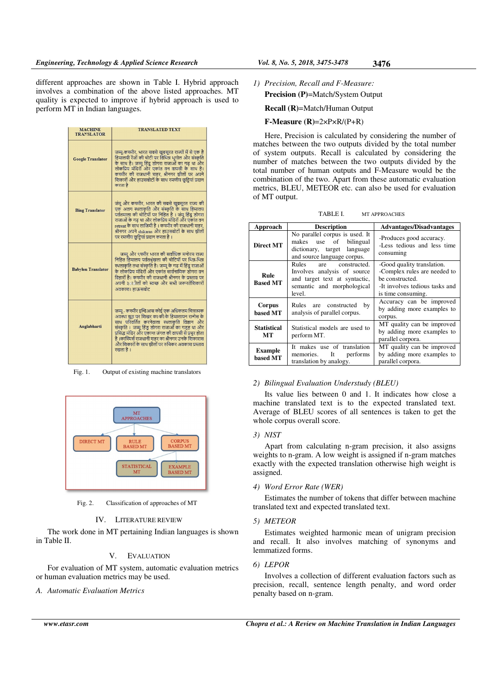different approaches are shown in Table I. Hybrid approach involves a combination of the above listed approaches. MT quality is expected to improve if hybrid approach is used to perform MT in Indian languages.

| <b>MACHINE</b><br><b>TRANSLATOR</b> | <b>TRANSLATED TEXT</b>                                                                                                                                                                                                                                                                                                                                                           |
|-------------------------------------|----------------------------------------------------------------------------------------------------------------------------------------------------------------------------------------------------------------------------------------------------------------------------------------------------------------------------------------------------------------------------------|
| <b>Google Translator</b>            | जम्मू-कश्मीर, भारत सबसे खुबसूरत राज्यों में से एक है<br>हिमालयी रेंजों की चोटी पर विभिन्न भूगोल और संस्कृति<br>के साथ है। जम्म हिंद डोगरा राजाओं का गढ था और<br>लोकप्रिय मंदिरों और एकांत वन वापसी के साथ है।<br>कश्मीर की राजधानी शहर. श्रीनगर झीलों पर अपने<br>शिकारों और हाउसबोटों के साथ रमणीय छुट्टियां प्रदान<br>करता है                                                   |
| <b>Bing Translator</b>              | जंम् और कश्मीर, भारत की सबसे खुबसुरत राज्य की<br>एक अलग स्थलाकृति और संस्कृति के साथ हिमालय<br>पर्वतमाला की चोटियों पर निहित है । जमू हिंदू डोगरा<br>राजाओं के गढ था और लोकप्रिय मंदिरों और एकांत वन<br>retreat के साथ लाजिमी है । कश्मीर की राजधानी शहर.<br>श्रीनगर अपने shikaras और हाउसबोटों के साथ झीलों<br>पर रमणीय छुट्टियां प्रदान करता है ।                              |
| <b>Babylon Translator</b>           | जम्म और ९श्मीर भारत की सर्वाधिक मनोरम राज्य<br>निहित हिमालय पर्वतश्रृंखला की चोटियों पर भिन्न-भिन्न<br>स्थलाकृति तथा संस्कृति है। जम्मू के गढ में हिंदु राजाओं<br>के लोकप्रिय मंदिरों और एकांत सार्वनामिक डोगरा वन<br>विहारों है। कश्मीर की राजधानी श्रीनगर के प्रस्ताव पर<br>अपनी ३०ा <b>ीलों को स्वच्छ और सभी जरूरतेंशिका</b> रों<br>अवकाश। हाऊसबोट                            |
| Anglabharti                         | जम्मू - कश्मीर इन्दिआस कोई एक अधिकतम चित्रात्मक<br>अवस्था झठ पर शिखर का की के हिमालायन रानोस के<br>साथ परिवर्तित करनेवाला स्थलाकति विज्ञान और<br>संस्कृति । जम्मू हिंडु डोगरा राजाओं का गडह था और<br>प्रसिद्ध मंदिर और एकान्त जंगल की वापसी से प्रचुर होता<br>है ।काश्मिर्स राजधानी शहर का श्रीनगर उनके शिकारास<br>और शिकारों के साथ झीलों पर रुचिकर अवकाश प्रस्ताव<br>रखता है । |

Fig. 1. Output of existing machine translators



Fig. 2. Classification of approaches of MT

#### IV. LITERATURE REVIEW

The work done in MT pertaining Indian languages is shown in Table II.

## V. EVALUATION

For evaluation of MT system, automatic evaluation metrics or human evaluation metrics may be used.

*A. Automatic Evaluation Metrics* 

*1) Precision, Recall and F-Measure:* 

**Precision (P)**=Match/System Output

**Recall (R)**=Match/Human Output

#### **F-Measure (R)**=2×P×R/(P+R)

Here, Precision is calculated by considering the number of matches between the two outputs divided by the total number of system outputs. Recall is calculated by considering the number of matches between the two outputs divided by the total number of human outputs and F-Measure would be the combination of the two. Apart from these automatic evaluation metrics, BLEU, METEOR etc. can also be used for evaluation of MT output.

TABLE I. MT APPROACHES

| Approach                   | <b>Description</b>                                                                                                                   | <b>Advantages/Disadvantages</b>                                                                                                       |
|----------------------------|--------------------------------------------------------------------------------------------------------------------------------------|---------------------------------------------------------------------------------------------------------------------------------------|
| <b>Direct MT</b>           | No parallel corpus is used. It<br>makes use of<br>bilingual<br>dictionary, target language<br>and source language corpus.            | -Produces good accuracy.<br>-Less tedious and less time<br>consuming                                                                  |
| Rule<br><b>Based MT</b>    | Rules<br>constructed.<br>are<br>Involves analysis of source<br>and target text at syntactic,<br>semantic and morphological<br>level. | -Good quality translation.<br>-Complex rules are needed to<br>be constructed.<br>-It involves tedious tasks and<br>is time consuming. |
| Corpus<br>based MT         | Rules are constructed<br>by<br>analysis of parallel corpus.                                                                          | Accuracy can be improved<br>by adding more examples to<br>corpus.                                                                     |
| <b>Statistical</b><br>МT   | Statistical models are used to<br>perform MT.                                                                                        | MT quality can be improved<br>by adding more examples to<br>parallel corpora.                                                         |
| <b>Example</b><br>based MT | It makes use of translation<br>It<br>performs<br>memories.<br>translation by analogy.                                                | MT quality can be improved<br>by adding more examples to<br>parallel corpora.                                                         |

#### *2) Bilingual Evaluation Understudy (BLEU)*

Its value lies between 0 and 1. It indicates how close a machine translated text is to the expected translated text. Average of BLEU scores of all sentences is taken to get the whole corpus overall score.

#### *3) NIST*

Apart from calculating n-gram precision, it also assigns weights to n-gram. A low weight is assigned if n-gram matches exactly with the expected translation otherwise high weight is assigned.

#### *4) Word Error Rate (WER)*

Estimates the number of tokens that differ between machine translated text and expected translated text.

#### *5) METEOR*

Estimates weighted harmonic mean of unigram precision and recall. It also involves matching of synonyms and lemmatized forms.

#### *6) LEPOR*

Involves a collection of different evaluation factors such as precision, recall, sentence length penalty, and word order penalty based on n-gram.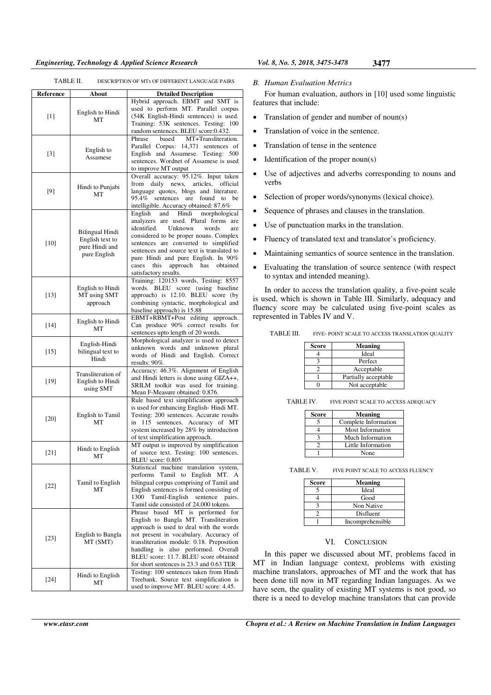### *Engineering, Technology & Applied Science Research Vol. 8, No. 5, 2018, 3475-3478* **3477**

| TABLE II. | DESCRIPTION OF MTs OF DIFFERENT LANGUAGE PAIRS |
|-----------|------------------------------------------------|
|           |                                                |

| Reference | About                                                                       | <b>Detailed Description</b>                                                                                                                                                                                                                                                                                                                                                 |
|-----------|-----------------------------------------------------------------------------|-----------------------------------------------------------------------------------------------------------------------------------------------------------------------------------------------------------------------------------------------------------------------------------------------------------------------------------------------------------------------------|
| $[1]$     | English to Hindi<br>МT                                                      | Hybrid approach. EBMT and SMT is<br>used to perform MT. Parallel corpus<br>(54K English-Hindi sentences) is used.<br>Training: 53K sentences. Testing: 100<br>random sentences. BLEU score:0.432.                                                                                                                                                                           |
| $[3]$     | English to<br>Assamese                                                      | based<br>MT+Transliteration.<br>Phrase<br>14,371 sentences of<br>Parallel Corpus:<br>English and Assamese. Testing: 500<br>sentences. Wordnet of Assamese is used<br>to improve MT output                                                                                                                                                                                   |
| [9]       | Hindi to Punjabi<br>MT                                                      | Overall accuracy: 95.12%. Input taken<br>daily news,<br>from<br>articles,<br>official<br>language quotes, blogs and literature.<br>95.4%<br>sentences are<br>found<br>be<br>to<br>intelligible. Accuracy obtained: 87.6%                                                                                                                                                    |
| $[10]$    | <b>Bilingual Hindi</b><br>English text to<br>pure Hindi and<br>pure English | Hindi<br>morphological<br>English and<br>analyzers are used. Plural forms<br>are<br>identified.<br>Unknown<br>words<br>are<br>considered to be proper nouns. Complex<br>sentences are converted to simplified<br>sentences and source text is translated to<br>pure Hindi and pure English. In 90%<br>this<br>approach<br>has<br>obtained<br>cases<br>satisfactory results. |
| $[13]$    | English to Hindi<br>MT using SMT<br>approach                                | Training: 120153 words, Testing: 8557<br>(using baseline<br>words.<br>BLEU score<br>approach) is 12.10. BLEU score (by<br>combining syntactic, morphological and<br>baseline approach) is 15.88                                                                                                                                                                             |
| $[14]$    | English to Hindi<br>MT                                                      | EBMT+RBMT+Post editing approach.<br>Can produce 90% correct results for<br>sentences upto length of 20 words.                                                                                                                                                                                                                                                               |
| $[15]$    | English-Hindi<br>bilingual text to<br>Hindi                                 | Morphological analyzer is used to detect<br>unknown words and unknown plural<br>words of Hindi and English. Correct<br>results: 90%.                                                                                                                                                                                                                                        |
| $[19]$    | Transliteration of<br>English to Hindi<br>using SMT                         | Accuracy: 46.3%. Alignment of English<br>and Hindi letters is done using GIZA++,<br>SRILM toolkit was used for training.<br>Mean F-Measure obtained: 0.876.                                                                                                                                                                                                                 |
| $[20]$    | English to Tamil<br>МT                                                      | Rule based text simplification approach<br>is used for enhancing English-Hindi MT.<br>Testing: 200 sentences. Accurate results<br>115 sentences. Accuracy of MT<br>in<br>system increased by 28% by introduction<br>of text simplification approach.                                                                                                                        |
| $[21]$    | Hindi to English<br>МT                                                      | MT output is improved by simplification<br>of source text. Testing: 100 sentences.<br>BLEU score: 0.805                                                                                                                                                                                                                                                                     |
| $[22]$    | Tamil to English<br>МT                                                      | Statistical machine translation system,<br>Tamil to English<br>performs<br>MT. A<br>bilingual corpus comprising of Tamil and<br>English sentences is formed consisting of<br>Tamil-English<br>sentence pairs.<br>1300<br>Tamil side consisted of 24,000 tokens.                                                                                                             |
| $[23]$    | English to Bangla<br>MT (SMT)                                               | Phrase based MT is performed<br>for<br>English to Bangla MT. Transliteration<br>approach is used to deal with the words<br>not present in vocabulary. Accuracy of<br>transliteration module: 0.18. Preposition<br>also performed. Overall<br>handling is<br>BLEU score: 11.7. BLEU score obtained<br>for short sentences is 23.3 and 0.63 TER                               |
| $[24]$    | Hindi to English<br>МT                                                      | Testing: 100 sentences taken from Hindi<br>Treebank. Source text simplification is<br>used to improve MT. BLEU score: 4.45.                                                                                                                                                                                                                                                 |

#### *B. Human Evaluation Metrics*

For human evaluation, authors in [10] used some linguistic features that include:

- Translation of gender and number of noun(s)
- Translation of voice in the sentence.
- Translation of tense in the sentence
- Identification of the proper noun(s)
- Use of adjectives and adverbs corresponding to nouns and verbs
- Selection of proper words/synonyms (lexical choice).
- Sequence of phrases and clauses in the translation.
- Use of punctuation marks in the translation.
- Fluency of translated text and translator's proficiency.
- Maintaining semantics of source sentence in the translation.
- Evaluating the translation of source sentence (with respect to syntax and intended meaning).

In order to access the translation quality, a five-point scale is used, which is shown in Table III. Similarly, adequacy and fluency score may be calculated using five-point scales as represented in Tables IV and V.

TABLE III. FIVE- POINT SCALE TO ACCESS TRANSLATION QUALITY

| <b>Score</b> | Meaning              |
|--------------|----------------------|
|              | Ideal                |
|              | Perfect              |
|              | Acceptable           |
|              | Partially acceptable |
|              | Not acceptable       |

TABLE IV. FIVE POINT SCALE TO ACCESS ADEQUACY

| Score | Meaning                 |
|-------|-------------------------|
|       | Complete Information    |
|       | <b>Most Information</b> |
|       | Much Information        |
|       | Little Information      |
|       | None                    |

TABLE V. FIVE POINT SCALE TO ACCESS FLUENCY

| <b>Score</b> | Meaning          |
|--------------|------------------|
|              | Ideal            |
|              | Good             |
|              | Non Native       |
|              | Disfluent        |
|              | Incomprehensible |

#### VI. CONCLUSION

In this paper we discussed about MT, problems faced in MT in Indian language context, problems with existing machine translators, approaches of MT and the work that has been done till now in MT regarding Indian languages. As we have seen, the quality of existing MT systems is not good, so there is a need to develop machine translators that can provide